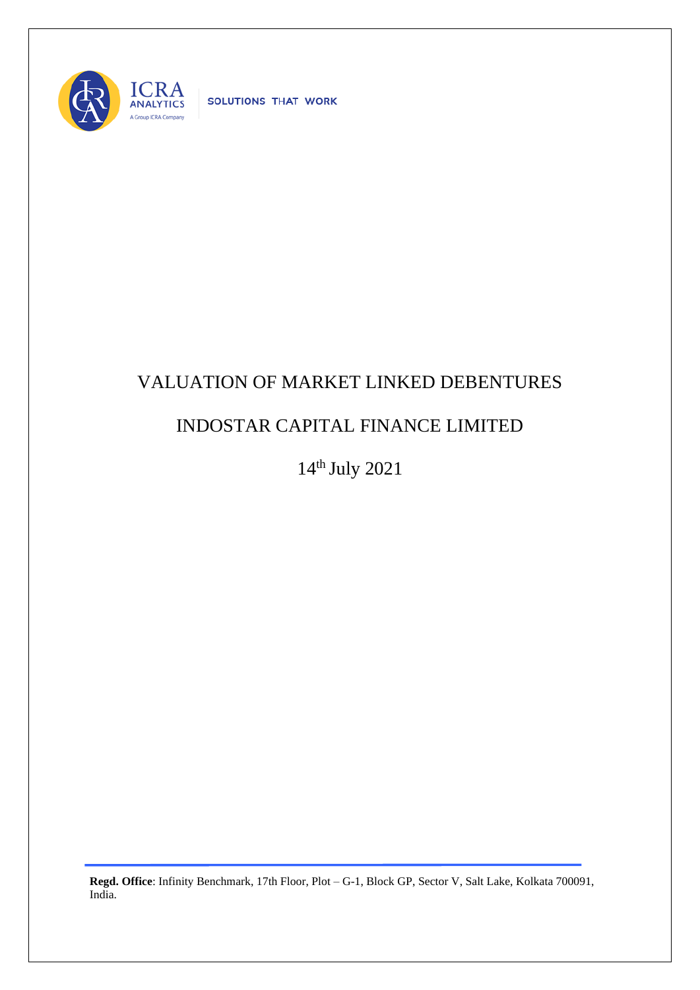

SOLUTIONS THAT WORK

## VALUATION OF MARKET LINKED DEBENTURES

## INDOSTAR CAPITAL FINANCE LIMITED

14th July 2021

**Regd. Office**: Infinity Benchmark, 17th Floor, Plot – G-1, Block GP, Sector V, Salt Lake, Kolkata 700091, India.